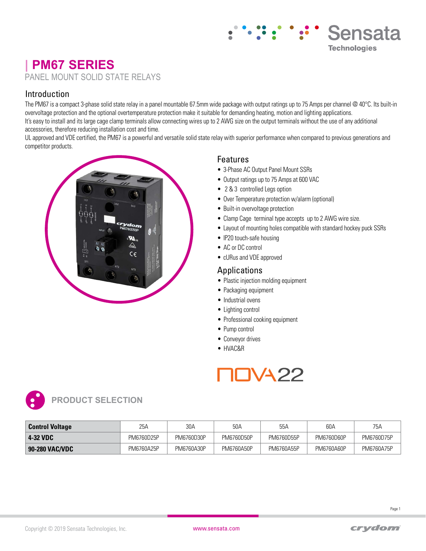# **| PM67 SERIES** PANEL MOUNT SOLID STATE RELAYS

### Introduction

The PM67 is a compact 3-phase solid state relay in a panel mountable 67.5mm wide package with output ratings up to 75 Amps per channel @ 40°C. Its built-in overvoltage protection and the optional overtemperature protection make it suitable for demanding heating, motion and lighting applications. It's easy to install and its large cage clamp terminals allow connecting wires up to 2 AWG size on the output terminals without the use of any additional accessories, therefore reducing installation cost and time.

UL approved and VDE certified, the PM67 is a powerful and versatile solid state relay with superior performance when compared to previous generations and competitor products.



### Features

- 3-Phase AC Output Panel Mount SSRs
- Output ratings up to 75 Amps at 600 VAC
- 2 & 3 controlled Legs option
- Over Temperature protection w/alarm (optional)
- Built-in overvoltage protection
- Clamp Cage terminal type accepts up to 2 AWG wire size.
- Layout of mounting holes compatible with standard hockey puck SSRs

Sensata

**Technologies** 

- IP20 touch-safe housing
- AC or DC control
- cURus and VDE approved

### Applications

- Plastic injection molding equipment
- Packaging equipment
- Industrial ovens
- Lighting control
- Professional cooking equipment
- Pump control
- Conveyor drives
- HVAC&R





| <b>Control Voltage</b> | 25A        | 30A        | 50A        | 55A        | 60A        | 75A        |
|------------------------|------------|------------|------------|------------|------------|------------|
| 4-32 VDC               | PM6760D25P | PM6760D30P | PM6760D50P | PM6760D55P | PM6760D60P | PM6760D75P |
| 90-280 VAC/VDC         | PM6760A25P | PM6760A30P | PM6760A50P | PM6760A55P | PM6760A60P | PM6760A75P |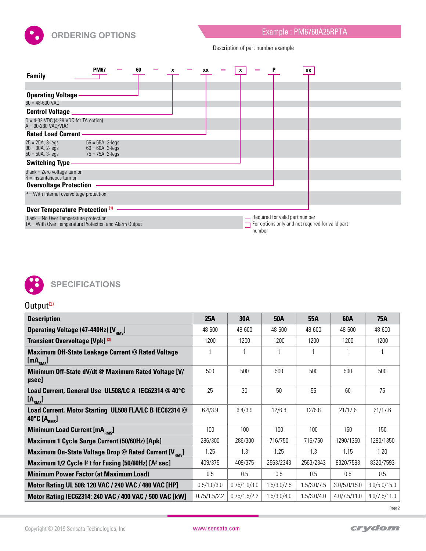

Description of part number example

| <b>Family</b>                                                                                    | <b>PM67</b>                                                        | 60 |  | XX | x | <b>Contract</b>                            | XX |                                                         |
|--------------------------------------------------------------------------------------------------|--------------------------------------------------------------------|----|--|----|---|--------------------------------------------|----|---------------------------------------------------------|
|                                                                                                  |                                                                    |    |  |    |   |                                            |    |                                                         |
| <b>Operating Voltage</b>                                                                         |                                                                    |    |  |    |   |                                            |    |                                                         |
| $60 = 48 - 600$ VAC                                                                              |                                                                    |    |  |    |   |                                            |    |                                                         |
| <b>Control Voltage</b>                                                                           |                                                                    |    |  |    |   |                                            |    |                                                         |
| $D = 4-32$ VDC (4-28 VDC for TA option)<br>$A = 90-280$ VAC/VDC                                  |                                                                    |    |  |    |   |                                            |    |                                                         |
| <b>Rated Load Current</b>                                                                        |                                                                    |    |  |    |   |                                            |    |                                                         |
| $25 = 25A, 3 - legs$<br>$30 = 30A, 2 - legs$<br>$50 = 50A$ , 3-legs                              | $55 = 55A, 2 - legs$<br>$60 = 60A, 3 - legs$<br>$75 = 75A, 2-legs$ |    |  |    |   |                                            |    |                                                         |
| <b>Switching Type</b>                                                                            |                                                                    |    |  |    |   |                                            |    |                                                         |
| Blank = Zero voltage turn on<br>$R =$ Instantaneous turn on                                      |                                                                    |    |  |    |   |                                            |    |                                                         |
| <b>Overvoltage Protection</b>                                                                    |                                                                    |    |  |    |   |                                            |    |                                                         |
| $P =$ With internal overvoltage protection                                                       |                                                                    |    |  |    |   |                                            |    |                                                         |
| <b>Over Temperature Protection (1)</b>                                                           |                                                                    |    |  |    |   |                                            |    |                                                         |
| Blank = No Over Temperature protection<br>TA = With Over Temperature Protection and Alarm Output |                                                                    |    |  |    |   | - Required for valid part number<br>number |    | $\Box$ For options only and not required for valid part |



# $Output<sup>(2)</sup>$

| <b>Description</b>                                                                                   | 25A          | <b>30A</b>   | <b>50A</b>   | <b>55A</b>  | 60A          | 75A          |
|------------------------------------------------------------------------------------------------------|--------------|--------------|--------------|-------------|--------------|--------------|
| Operating Voltage (47-440Hz) [V <sub>RMS</sub> ]                                                     | 48-600       | 48-600       | 48-600       | 48-600      | 48-600       | 48-600       |
| Transient Overvoltage [Vpk] (3)                                                                      | 1200         | 1200         | 1200         | 1200        | 1200         | 1200         |
| <b>Maximum Off-State Leakage Current @ Rated Voltage</b><br>[mA <sub>RMS</sub> ]                     |              |              |              |             |              |              |
| Minimum Off-State dV/dt @ Maximum Rated Voltage [V/<br>µsec]                                         | 500          | 500          | 500          | 500         | 500          | 500          |
| Load Current, General Use UL508/LC A IEC62314 @ 40°C<br>[A <sub>RMS</sub> ]                          | 25           | 30           | $50^{\circ}$ | 55          | 60           | 75           |
| Load Current, Motor Starting UL508 FLA/LC B IEC62314 @<br>40 $^{\circ}$ C [A $_{\text{\tiny RMS}}$ ] | 6.4/3.9      | 6.4/3.9      | 12/6.8       | 12/6.8      | 21/17.6      | 21/17.6      |
| <b>Minimum Load Current [mA<sub>RMS</sub>]</b>                                                       | 100          | 100          | 100          | 100         | 150          | 150          |
| Maximum 1 Cycle Surge Current (50/60Hz) [Apk]                                                        | 286/300      | 286/300      | 716/750      | 716/750     | 1290/1350    | 1290/1350    |
| Maximum On-State Voltage Drop @ Rated Current [V <sub>RMS</sub> ]                                    | 1.25         | 1.3          | 1.25         | 1.3         | 1.15         | 1.20         |
| Maximum 1/2 Cycle <sup>12</sup> t for Fusing (50/60Hz) [A <sup>2</sup> sec]                          | 409/375      | 409/375      | 2563/2343    | 2563/2343   | 8320/7593    | 8320/7593    |
| <b>Minimum Power Factor (at Maximum Load)</b>                                                        | 0.5          | 0.5          | 0.5          | 0.5         | 0.5          | 0.5          |
| Motor Rating UL 508: 120 VAC / 240 VAC / 480 VAC [HP]                                                | 0.5/1.0/3.0  | 0.75/1.0/3.0 | 1.5/3.0/7.5  | 1.5/3.0/7.5 | 3.0/5.0/15.0 | 3.0/5.0/15.0 |
| Motor Rating IEC62314: 240 VAC / 400 VAC / 500 VAC [kW]                                              | 0.75/1.5/2.2 | 0.75/1.5/2.2 | 1.5/3.0/4.0  | 1.5/3.0/4.0 | 4.0/7.5/11.0 | 4.0/7.5/11.0 |

Page 2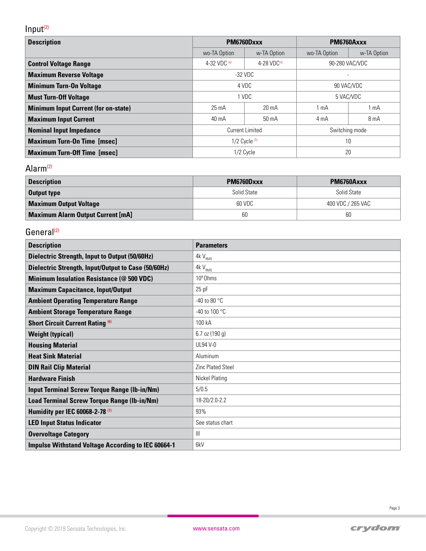# $Input<sup>(2)</sup>$

| <b>Description</b>                          | PM6760Dxxx             |                   | PM6760Axxx     |                 |  |
|---------------------------------------------|------------------------|-------------------|----------------|-----------------|--|
|                                             | wo-TA Option           | w-TA Option       | wo-TA Option   | w-TA Option     |  |
| <b>Control Voltage Range</b>                | 4-32 VDC (4)           | 4-28 VD $C^{(4)}$ | 90-280 VAC/VDC |                 |  |
| <b>Maximum Reverse Voltage</b>              | $-32$ VDC              |                   |                |                 |  |
| <b>Minimum Turn-On Voltage</b>              | 4 VDC                  |                   | 90 VAC/VDC     |                 |  |
| <b>Must Turn-Off Voltage</b>                | 1 VDC                  |                   | 5 VAC/VDC      |                 |  |
| <b>Minimum Input Current (for on-state)</b> | $25 \text{ mA}$        | $20 \text{ mA}$   | 1 mA           | 1 <sub>mA</sub> |  |
| <b>Maximum Input Current</b>                | 40 mA                  | 50 mA             | 4 mA           | 8 mA            |  |
| <b>Nominal Input Impedance</b>              | <b>Current Limited</b> |                   | Switching mode |                 |  |
| <b>Maximum Turn-On Time [msec]</b>          | $1/2$ Cycle $^{(5)}$   |                   | 10             |                 |  |
| <b>Maximum Turn-Off Time [msec]</b>         |                        | 1/2 Cycle         | 20             |                 |  |

## Alarm(2)

| <b>Description</b>                       | PM6760Dxxx  | PM6760Axxx        |
|------------------------------------------|-------------|-------------------|
| <b>Output type</b>                       | Solid State | Solid State       |
| <b>Maximum Output Voltage</b>            | 60 VDC      | 400 VDC / 265 VAC |
| <b>Maximum Alarm Output Current [mA]</b> | 60          | 60                |

# General<sup>(2)</sup>

| <b>Description</b>                                        | <b>Parameters</b>        |
|-----------------------------------------------------------|--------------------------|
| <b>Dielectric Strength, Input to Output (50/60Hz)</b>     | $4kV_{RMS}$              |
| Dielectric Strength, Input/Output to Case (50/60Hz)       | $4kV_{RMS}$              |
| <b>Minimum Insulation Resistance (@ 500 VDC)</b>          | 10 <sup>9</sup> Ohms     |
| <b>Maximum Capacitance, Input/Output</b>                  | $25$ pF                  |
| <b>Ambient Operating Temperature Range</b>                | -40 to 80 $^{\circ}$ C   |
| <b>Ambient Storage Temperature Range</b>                  | -40 to 100 °C            |
| <b>Short Circuit Current Rating (6)</b>                   | 100 kA                   |
| <b>Weight (typical)</b>                                   | 6.7 oz (190 g)           |
| <b>Housing Material</b>                                   | UL94 V-0                 |
| <b>Heat Sink Material</b>                                 | Aluminum                 |
| <b>DIN Rail Clip Material</b>                             | <b>Zinc Plated Steel</b> |
| <b>Hardware Finish</b>                                    | <b>Nickel Plating</b>    |
| <b>Input Terminal Screw Torque Range (Ib-in/Nm)</b>       | 5/0.5                    |
| Load Terminal Screw Torque Range (Ib-in/Nm)               | 18-20/2.0-2.2            |
| Humidity per IEC 60068-2-78 <sup>(7)</sup>                | 93%                      |
| <b>LED Input Status Indicator</b>                         | See status chart         |
| <b>Overvoltage Category</b>                               | $\mathbf{III}$           |
| <b>Impulse Withstand Voltage According to IEC 60664-1</b> | 6kV                      |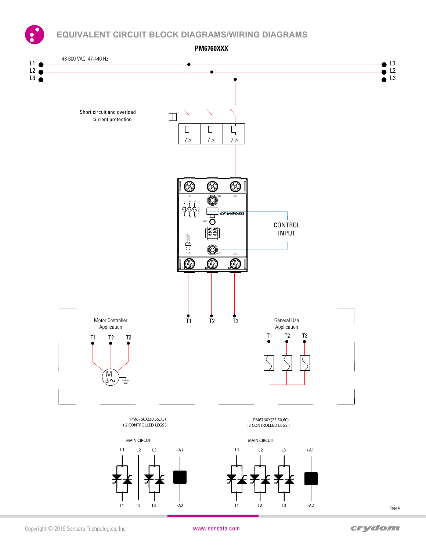**EQUIVALENT CIRCUIT BLOCK DIAGRAMS/WIRING DIAGRAMS**

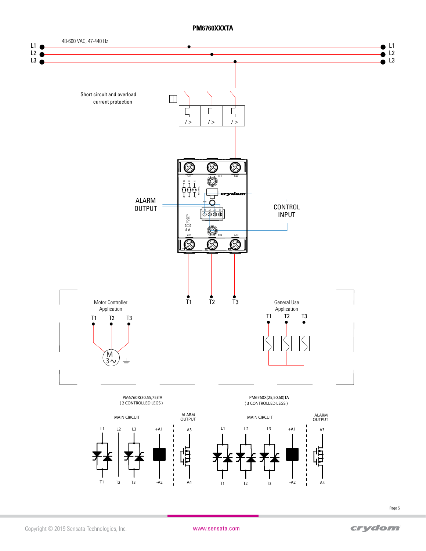#### **PM6760XXXTA**

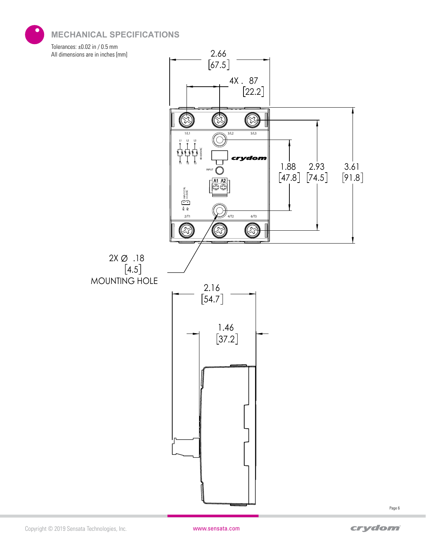**MECHANICAL SPECIFICATIONS**

Tolerances: ±0.02 in / 0.5 mm All dimensions are in inches [mm]



Copyright © 2019 Sensata Technologies, Inc. www.sensata.com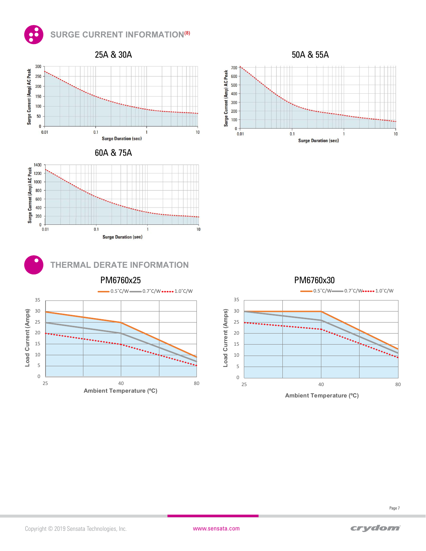## **SURGE CURRENT INFORMATION(8)**



**THERMAL DERATE INFORMATION** 

**Surge Duration (sec)** 







**Load Current (Amps)**

Load Current (Amps)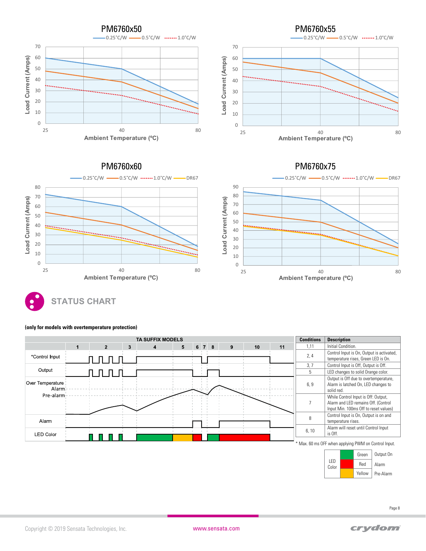

# **STATUS CHART Ambient Temperature (ºC)**

25 40 80

0 10 20



0 10 20

#### **(only for models with overtemperature protection)**

Alarm Pre-Alarm

Red Yellow

Color

25 and 20 and 20 and 20 and 20 and 20 and 20 and 20 and 20 and 20 and 20 and 20 and 20 and 20 and 20 and 20 and 20 and 20 and 20 and 20 and 20 and 20 and 20 and 20 and 20 and 20 and 20 and 20 and 20 and 20 and 20 and 20 an

**Ambient Temperature (ºC)**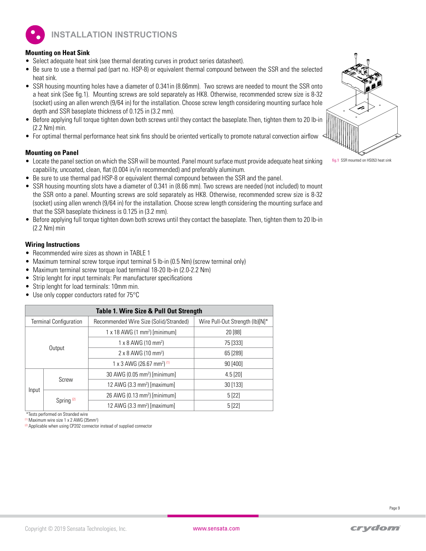**INSTALLATION INSTRUCTIONS**

#### **Mounting on Heat Sink**

- Select adequate heat sink (see thermal derating curves in product series datasheet).
- Be sure to use a thermal pad (part no. HSP-8) or equivalent thermal compound between the SSR and the selected heat sink.
- SSR housing mounting holes have a diameter of 0.341in (8.66mm). Two screws are needed to mount the SSR onto a heat sink (See fig.1). Mounting screws are sold separately as HK8. Otherwise, recommended screw size is 8-32 (socket) using an allen wrench (9/64 in) for the installation. Choose screw length considering mounting surface hole depth and SSR baseplate thickness of 0.125 in (3.2 mm).
- Before applying full torque tighten down both screws until they contact the baseplate.Then, tighten them to 20 lb-in (2.2 Nm) min.
- For optimal thermal performance heat sink fins should be oriented vertically to promote natural convection airflow

#### **Mounting on Panel**

- Locate the panel section on which the SSR will be mounted. Panel mount surface must provide adequate heat sinking capability, uncoated, clean, flat (0.004 in/in recommended) and preferably aluminum.
- Be sure to use thermal pad HSP-8 or equivalent thermal compound between the SSR and the panel.
- SSR housing mounting slots have a diameter of 0.341 in (8.66 mm). Two screws are needed (not included) to mount the SSR onto a panel. Mounting screws are sold separately as HK8. Otherwise, recommended screw size is 8-32 (socket) using allen wrench (9/64 in) for the installation. Choose screw length considering the mounting surface and that the SSR baseplate thickness is 0.125 in (3.2 mm).
- Before applying full torque tighten down both screws until they contact the baseplate. Then, tighten them to 20 lb-in (2.2 Nm) min

#### **Wiring Instructions**

- Recommended wire sizes as shown in TABLE 1
- Maximum terminal screw torque input terminal 5 lb-in (0.5 Nm) (screw terminal only)
- Maximum terminal screw torque load terminal 18-20 lb-in (2.0-2.2 Nm)
- Strip lenght for input terminals: Per manufacturer specifications
- Strip lenght for load terminals: 10mm min.
- Use only copper conductors rated for 75°C

| <b>Table 1. Wire Size &amp; Pull Out Strength</b> |                       |                                                   |                                 |  |  |  |
|---------------------------------------------------|-----------------------|---------------------------------------------------|---------------------------------|--|--|--|
| <b>Terminal Configuration</b>                     |                       | Recommended Wire Size (Solid/Stranded)            | Wire Pull-Out Strength (lb)[N]* |  |  |  |
| Output                                            |                       | $1 \times 18$ AWG (1 mm <sup>2</sup> ) [minimum]  | 20 [88]                         |  |  |  |
|                                                   |                       | $1 \times 8$ AWG (10 mm <sup>2</sup> )            | 75 [333]                        |  |  |  |
|                                                   |                       | $2 \times 8$ AWG (10 mm <sup>2</sup> )            | 65 [289]                        |  |  |  |
|                                                   |                       | 1 x 3 AWG (26.67 mm <sup>2</sup> ) <sup>(1)</sup> | 90 [400]                        |  |  |  |
|                                                   |                       | 30 AWG (0.05 mm <sup>2</sup> ) [minimum]          | $4.5$ [20]                      |  |  |  |
|                                                   | Screw                 | 12 AWG (3.3 mm <sup>2</sup> ) [maximum]           | 30 [133]                        |  |  |  |
| Input                                             |                       | 26 AWG (0.13 mm <sup>2</sup> ) [minimum]          | 5[22]                           |  |  |  |
|                                                   | Spring <sup>(2)</sup> | 12 AWG $(3.3 \text{ mm}^2)$ [maximum]             | 5[22]                           |  |  |  |

\*Tests performed on Stranded wire

<sup>(1)</sup> Maximum wire size 1 x 2 AWG (35mm<sup>2</sup>)

<sup>(2)</sup> Applicable when using CP202 connector instead of supplied connector



**fig.1** SSR mounted on HS053 heat sink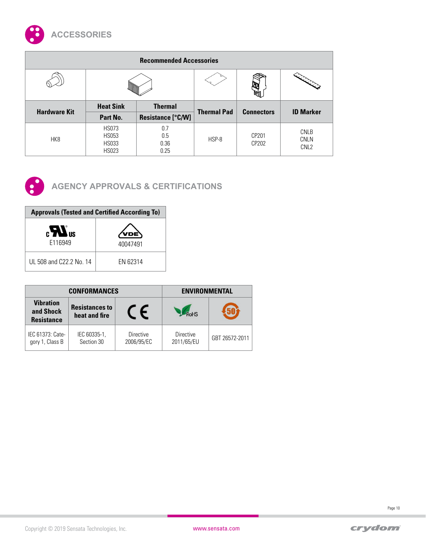

| <b>Recommended Accessories</b> |                                                              |                            |                    |                   |                                                |  |  |
|--------------------------------|--------------------------------------------------------------|----------------------------|--------------------|-------------------|------------------------------------------------|--|--|
|                                |                                                              |                            |                    |                   |                                                |  |  |
|                                | <b>Heat Sink</b>                                             | <b>Thermal</b>             |                    |                   | <b>ID Marker</b>                               |  |  |
| <b>Hardware Kit</b>            | Part No.                                                     | Resistance [°C/W]          | <b>Thermal Pad</b> | <b>Connectors</b> |                                                |  |  |
| HK8                            | <b>HS073</b><br><b>HS053</b><br><b>HS033</b><br><b>HS023</b> | 0.7<br>0.5<br>0.36<br>0.25 | HSP-8              | CP201<br>CP202    | <b>CNLB</b><br><b>CNLN</b><br>CNL <sub>2</sub> |  |  |



# **AGENCY APPROVALS & CERTIFICATIONS**

| <b>Approvals (Tested and Certified According To)</b> |          |  |  |  |
|------------------------------------------------------|----------|--|--|--|
| $\epsilon$ $\bm{W}$ <sub>us</sub><br>F116949         | 40047491 |  |  |  |
| UL 508 and C22.2 No. 14                              | FN 62314 |  |  |  |

|                                                    | <b>CONFORMANCES</b>                    | <b>ENVIRONMENTAL</b>           |                                |                |  |
|----------------------------------------------------|----------------------------------------|--------------------------------|--------------------------------|----------------|--|
| <b>Vibration</b><br>and Shock<br><b>Resistance</b> | <b>Resistances to</b><br>heat and fire |                                | <b>RoHS</b>                    |                |  |
| IEC 61373: Cate-<br>gory 1, Class B                | IEC 60335-1,<br>Section 30             | <b>Directive</b><br>2006/95/EC | <b>Directive</b><br>2011/65/EU | GBT 26572-2011 |  |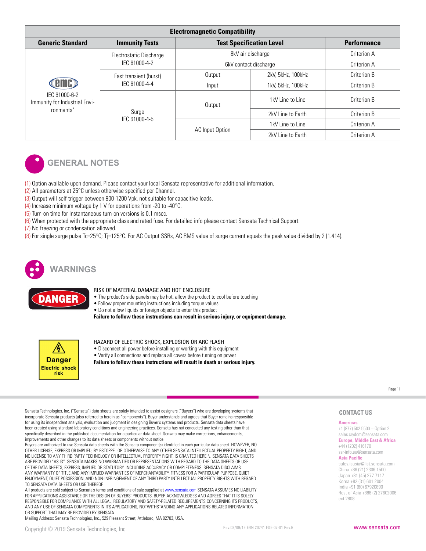| <b>Electromagnetic Compatibility</b>                        |                                                  |                                 |                    |             |  |  |
|-------------------------------------------------------------|--------------------------------------------------|---------------------------------|--------------------|-------------|--|--|
| <b>Generic Standard</b>                                     | <b>Immunity Tests</b>                            | <b>Test Specification Level</b> | <b>Performance</b> |             |  |  |
| IEC 61000-6-2<br>Immunity for Industrial Envi-<br>ronments" | Electrostatic Discharge                          |                                 | 8kV air discharge  | Criterion A |  |  |
|                                                             | IEC 61000-4-2                                    | 6kV contact discharge           | Criterion A        |             |  |  |
|                                                             | Fast transient (burst)<br>IEC 61000-4-4<br>Surge | Output                          | 2kV, 5kHz, 100kHz  | Criterion B |  |  |
|                                                             |                                                  | Input                           | 1kV, 5kHz, 100kHz  | Criterion B |  |  |
|                                                             |                                                  | Output                          | 1kV Line to Line   | Criterion B |  |  |
|                                                             |                                                  |                                 | 2kV Line to Earth  | Criterion B |  |  |
|                                                             | IEC 61000-4-5                                    |                                 | 1kV Line to Line   | Criterion A |  |  |
|                                                             |                                                  | AC Input Option                 | 2kV Line to Earth  | Criterion A |  |  |



## **GENERAL NOTES**

(1) Option available upon demand. Please contact your local Sensata representative for additional information.

- (2) All parameters at 25°C unless otherwise specified per Channel.
- (3) Output will self trigger between 900-1200 Vpk, not suitable for capacitive loads.
- (4) Increase minimum voltage by 1 V for operations from -20 to -40°C.
- (5) Turn-on time for Instantaneous turn-on versions is 0.1 msec.
- (6) When protected with the appropriate class and rated fuse. For detailed info please contact Sensata Technical Support.
- (7) No freezing or condensation allowed.

(8) For single surge pulse Tc=25°C; Tj=125°C. For AC Output SSRs, AC RMS value of surge current equals the peak value divided by 2 (1.414).



**NGER** 

#### RISK OF MATERIAL DAMAGE AND HOT ENCLOSURE

- The product's side panels may be hot, allow the product to cool before touching
- Follow proper mounting instructions including torque values
- Do not allow liquids or foreign objects to enter this product

**Failure to follow these instructions can result in serious injury, or equipment damage.**



#### HAZARD OF ELECTRIC SHOCK, EXPLOSION OR ARC FLASH

- Disconnect all power before installing or working with this equipment
- Verify all connections and replace all covers before turning on power
- **Failure to follow these instructions will result in death or serious injury.**

Page 11

Sensata Technologies, Inc. ("Sensata") data sheets are solely intended to assist designers ("Buyers") who are developing systems that incorporate Sensata products (also referred to herein as "components"). Buyer understands and agrees that Buyer remains responsible for using its independent analysis, evaluation and judgment in designing Buyer's systems and products. Sensata data sheets have been created using standard laboratory conditions and engineering practices. Sensata has not conducted any testing other than that specifically described in the published documentation for a particular data sheet. Sensata may make corrections, enhancements, improvements and other changes to its data sheets or components without notice.

Buyers are authorized to use Sensata data sheets with the Sensata component(s) identified in each particular data sheet. HOWEVER, NO OTHER LICENSE, EXPRESS OR IMPLIED, BY ESTOPPEL OR OTHERWISE TO ANY OTHER SENSATA INTELLECTUAL PROPERTY RIGHT, AND NO LICENSE TO ANY THIRD PARTY TECHNOLOGY OR INTELLECTUAL PROPERTY RIGHT, IS GRANTED HEREIN. SENSATA DATA SHEETS ARE PROVIDED "AS IS". SENSATA MAKES NO WARRANTIES OR REPRESENTATIONS WITH REGARD TO THE DATA SHEETS OR USE OF THE DATA SHEETS, EXPRESS, IMPLIED OR STATUTORY, INCLUDING ACCURACY OR COMPLETENESS. SENSATA DISCLAIMS ANY WARRANTY OF TITLE AND ANY IMPLIED WARRANTIES OF MERCHANTABILITY, FITNESS FOR A PARTICULAR PURPOSE, QUIET ENJOYMENT, QUIET POSSESSION, AND NON-INFRINGEMENT OF ANY THIRD PARTY INTELLECTUAL PROPERTY RIGHTS WITH REGARD TO SENSATA DATA SHEETS OR USE THEREOF.

All products are sold subject to Sensata's terms and conditions of sale supplied at www.sensata.com SENSATA ASSUMES NO LIABILITY FOR APPLICATIONS ASSISTANCE OR THE DESIGN OF BUYERS' PRODUCTS. BUYER ACKNOWLEDGES AND AGREES THAT IT IS SOLELY RESPONSIBLE FOR COMPLIANCE WITH ALL LEGAL, REGULATORY AND SAFETY-RELATED REQUIREMENTS CONCERNING ITS PRODUCTS, AND ANY USE OF SENSATA COMPONENTS IN ITS APPLICATIONS, NOTWITHSTANDING ANY APPLICATIONS-RELATED INFORMATION OR SUPPORT THAT MAY BE PROVIDED BY SENSATA.

Mailing Address: Sensata Technologies, Inc., 529 Pleasant Street, Attleboro, MA 02703, USA.

#### **Americas CONTACT US**

+1 (877) 502 5500 – Option 2 sales.crydom@sensata.com **Europe, Middle East & Africa** +44 (1202) 416170 ssr-info.eu@sensata.com **Asia Pacific** sales.isasia@list.sensata.com China +86 (21) 2306 1500 Japan +81 (45) 277 7117 Korea +82 (31) 601 2004 India +91 (80) 67920890 Rest of Asia +886 (2) 27602006 ext 2808